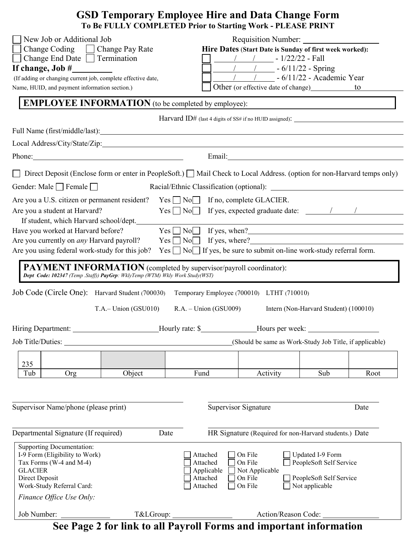|                                                                                                                                                                                                                                                                                                                                                                                                                                                                                                                                                                                                                                                                                                                          |                        | <b>GSD Temporary Employee Hire and Data Change Form</b><br>To Be FULLY COMPLETED Prior to Starting Work - PLEASE PRINT                                                                                                               |                                                                                                                                                                                                     |                                                                                                 |      |
|--------------------------------------------------------------------------------------------------------------------------------------------------------------------------------------------------------------------------------------------------------------------------------------------------------------------------------------------------------------------------------------------------------------------------------------------------------------------------------------------------------------------------------------------------------------------------------------------------------------------------------------------------------------------------------------------------------------------------|------------------------|--------------------------------------------------------------------------------------------------------------------------------------------------------------------------------------------------------------------------------------|-----------------------------------------------------------------------------------------------------------------------------------------------------------------------------------------------------|-------------------------------------------------------------------------------------------------|------|
| New Job or Additional Job<br>Change Coding   Change Pay Rate<br>$\Box$ Change End Date $\Box$ Termination<br>If change, Job #<br>(If adding or changing current job, complete effective date,<br>Name, HUID, and payment information section.)                                                                                                                                                                                                                                                                                                                                                                                                                                                                           |                        |                                                                                                                                                                                                                                      | Requisition Number:<br>Hire Dates (Start Date is Sunday of first week worked):<br>$\frac{1}{2}$ 1/22/22 - Fall<br>$\frac{1}{2}$ - 6/11/22 - Spring<br>$\frac{1}{1 - 6/11/22}$ - Academic Year<br>to |                                                                                                 |      |
| <b>EMPLOYEE INFORMATION</b> (to be completed by employee):                                                                                                                                                                                                                                                                                                                                                                                                                                                                                                                                                                                                                                                               |                        |                                                                                                                                                                                                                                      |                                                                                                                                                                                                     |                                                                                                 |      |
|                                                                                                                                                                                                                                                                                                                                                                                                                                                                                                                                                                                                                                                                                                                          |                        | Harvard ID# (last 4 digits of SS# if no HUID assigned): _________________________                                                                                                                                                    |                                                                                                                                                                                                     |                                                                                                 |      |
| Phone: Phone Phone Phone Phone Phone Phone Phone Phone Phone Phone Phone Phone Phone Phone Phone Phone Phone Phone Phone Phone Phone Phone Phone Phone Phone Phone Phone Phone Phone Phone Phone Phone Phone Phone Phone Phone                                                                                                                                                                                                                                                                                                                                                                                                                                                                                           |                        | Email: <u>Constantino de la constantino de la constantino de la constantino de la constantino de la constantino de la constantino de la constantino de la constantino de la constantino de la constantino de la constantino de l</u> |                                                                                                                                                                                                     |                                                                                                 |      |
| Direct Deposit (Enclose form or enter in PeopleSoft.) $\Box$ Mail Check to Local Address. (option for non-Harvard temps only)<br>Gender: Male Female<br>Are you a U.S. citizen or permanent resident? Yes ■ No If no, complete GLACIER.<br>Are you a student at Harvard?<br>If student, which Harvard school/dept.<br>Have you worked at Harvard before?<br>Are you currently on <i>any</i> Harvard payroll?<br>Are you using federal work-study for this job?<br><b>PAYMENT INFORMATION</b> (completed by supervisor/payroll coordinator):<br>Dept Code: 102347 (Temp .Staff)) PayGrp: WklyTemp (WTM) Wkly Work Study(WST)<br>Job Code (Circle One): Harvard Student (700030) Temporary Employee (700010) LTHT (710010) |                        | $Yes \tNo \tIf yes, expected graduate date: \tNo \tNo$<br>$Yes \tNo \tIf yes, when?$<br>$Yes \tNo \tIf yes, where?$<br>$Yes \tNo \tNo \tNf yes$ , be sure to submit on-line work-study referral form.                                |                                                                                                                                                                                                     |                                                                                                 |      |
| Hiring Department:                                                                                                                                                                                                                                                                                                                                                                                                                                                                                                                                                                                                                                                                                                       | $T.A.- Union (GSU010)$ | $R.A. - Union (GSU009)$<br>Hourly rate: \$                                                                                                                                                                                           |                                                                                                                                                                                                     | Intern (Non-Harvard Student) (100010)                                                           |      |
|                                                                                                                                                                                                                                                                                                                                                                                                                                                                                                                                                                                                                                                                                                                          |                        |                                                                                                                                                                                                                                      | (Should be same as Work-Study Job Title, if applicable)                                                                                                                                             |                                                                                                 |      |
| 235                                                                                                                                                                                                                                                                                                                                                                                                                                                                                                                                                                                                                                                                                                                      |                        |                                                                                                                                                                                                                                      |                                                                                                                                                                                                     |                                                                                                 |      |
| Tub<br>Org                                                                                                                                                                                                                                                                                                                                                                                                                                                                                                                                                                                                                                                                                                               | Object                 | Fund                                                                                                                                                                                                                                 | Activity                                                                                                                                                                                            | Sub                                                                                             | Root |
| Supervisor Name/phone (please print)<br>Departmental Signature (If required)                                                                                                                                                                                                                                                                                                                                                                                                                                                                                                                                                                                                                                             | Date                   | Supervisor Signature<br>HR Signature (Required for non-Harvard students.) Date                                                                                                                                                       |                                                                                                                                                                                                     | Date                                                                                            |      |
| <b>Supporting Documentation:</b><br>I-9 Form (Eligibility to Work)<br>Tax Forms (W-4 and M-4)<br><b>GLACIER</b><br>Direct Deposit<br>Work-Study Referral Card:<br>Finance Office Use Only:<br>Job Number:                                                                                                                                                                                                                                                                                                                                                                                                                                                                                                                | T&LGroup:              | Attached<br>Attached<br>Applicable<br>Attached<br>Attached                                                                                                                                                                           | On File<br>On File<br>Not Applicable<br>On File<br>On File<br>Action/Reason Code:                                                                                                                   | Updated I-9 Form<br>PeopleSoft Self Service<br>PeopleSoft Self Service<br>$\Box$ Not applicable |      |

**See Page 2 for link to all Payroll Forms and important information**